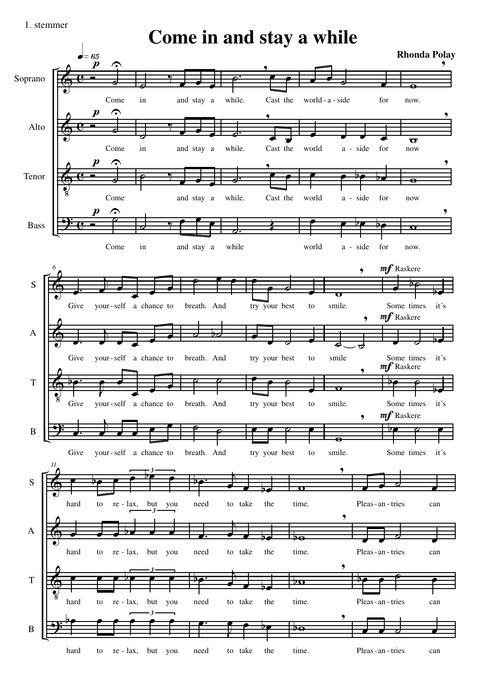1. stemmer